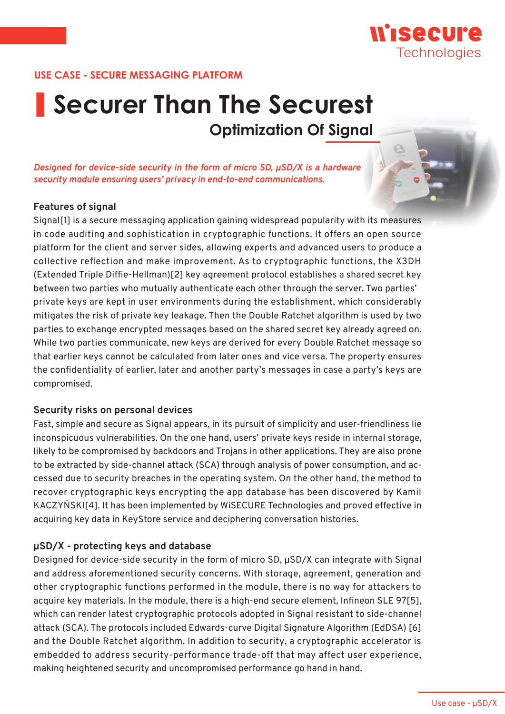

# **Securer Than The Securest Optimization Of Signal**

*Designed for device-side security in the form of micro SD, μSD/X is a hardware security module ensuring users' privacy in end-to-end communications.*

#### **Features of signal**

Signal[1] is a secure messaging application gaining widespread popularity with its measures in code auditing and sophistication in cryptographic functions. It offers an open source platform for the client and server sides, allowing experts and advanced users to produce a collective reflection and make improvement. As to cryptographic functions, the X3DH (Extended Triple Diffie-Hellman)[2] key agreement protocol establishes a shared secret key between two parties who mutually authenticate each other through the server. Two parties' private keys are kept in user environments during the establishment, which considerably mitigates the risk of private key leakage. Then the Double Ratchet algorithm is used by two parties to exchange encrypted messages based on the shared secret key already agreed on. While two parties communicate, new keys are derived for every Double Ratchet message so that earlier keys cannot be calculated from later ones and vice versa. The property ensures the confidentiality of earlier, later and another party's messages in case a party's keys are compromised.

#### **Security risks on personal devices**

Fast, simple and secure as Signal appears, in its pursuit of simplicity and user-friendliness lie inconspicuous vulnerabilities. On the one hand, users' private keys reside in internal storage, likely to be compromised by backdoors and Trojans in other applications. They are also prone to be extracted by side-channel attack (SCA) through analysis of power consumption, and accessed due to security breaches in the operating system. On the other hand, the method to recover cryptographic keys encrypting the app database has been discovered by Kamil KACZYŃSKI[4]. It has been implemented by WiSECURE Technologies and proved effective in acquiring key data in KeyStore service and deciphering conversation histories.

## **μSD/X - protecting keys and database**

Designed for device-side security in the form of micro SD, μSD/X can integrate with Signal and address aforementioned security concerns. With storage, agreement, generation and other cryptographic functions performed in the module, there is no way for attackers to acquire key materials. In the module, there is a high-end secure element, Infineon SLE 97[5], which can render latest cryptographic protocols adopted in Signal resistant to side-channel attack (SCA). The protocols included Edwards-curve Digital Signature Algorithm (EdDSA) [6] and the Double Ratchet algorithm. In addition to security, a cryptographic accelerator is embedded to address security-performance trade-off that may affect user experience, making heightened security and uncompromised performance go hand in hand.

Wisecure

Technologies